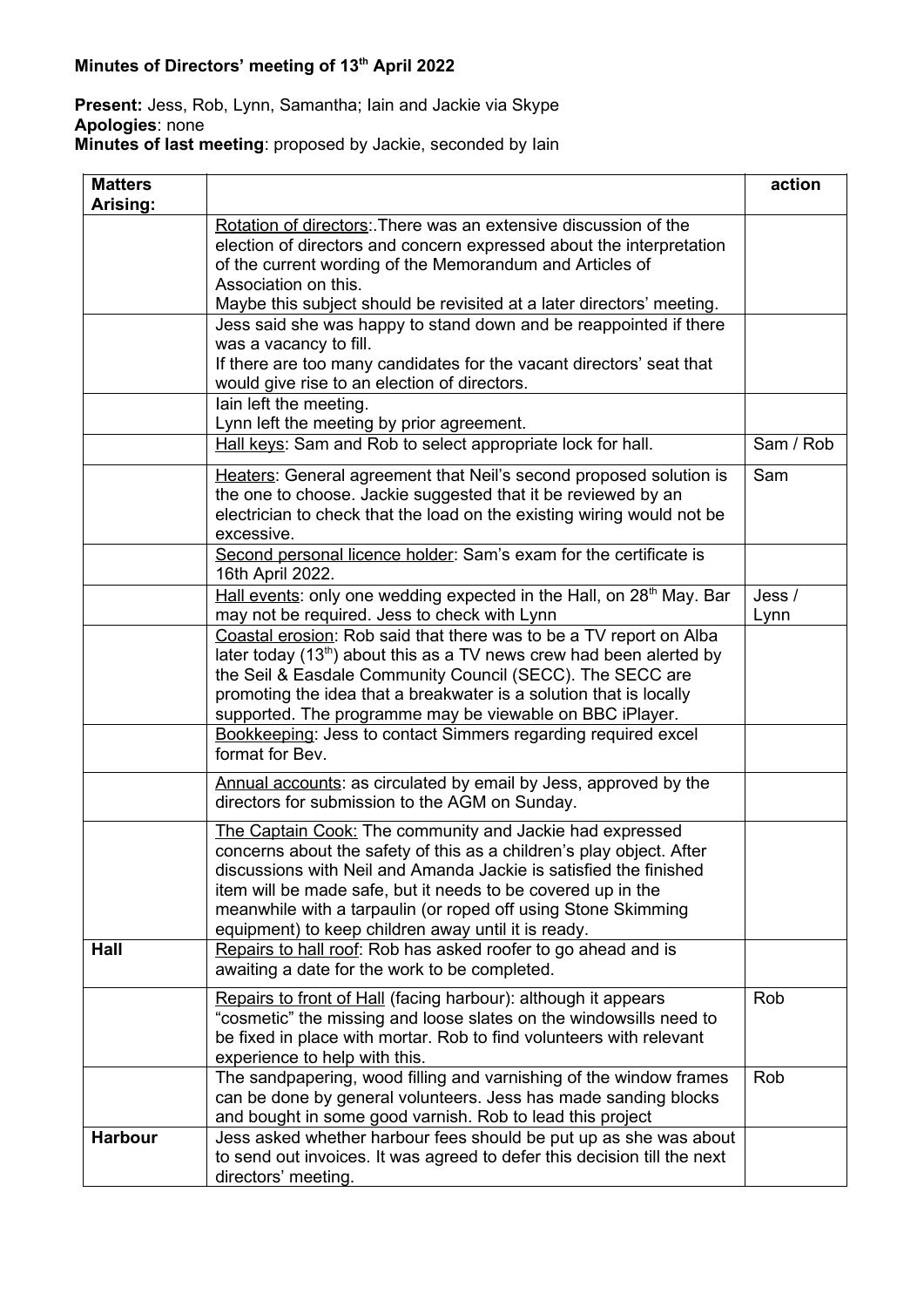## **Present:** Jess, Rob, Lynn, Samantha; Iain and Jackie via Skype **Apologies**: none

**Minutes of last meeting**: proposed by Jackie, seconded by Iain

| <b>Matters</b><br>Arising: |                                                                                                                                                                                                                                                                                                                                                                                               | action         |
|----------------------------|-----------------------------------------------------------------------------------------------------------------------------------------------------------------------------------------------------------------------------------------------------------------------------------------------------------------------------------------------------------------------------------------------|----------------|
|                            | Rotation of directors: There was an extensive discussion of the<br>election of directors and concern expressed about the interpretation<br>of the current wording of the Memorandum and Articles of<br>Association on this.<br>Maybe this subject should be revisited at a later directors' meeting.                                                                                          |                |
|                            | Jess said she was happy to stand down and be reappointed if there<br>was a vacancy to fill.<br>If there are too many candidates for the vacant directors' seat that<br>would give rise to an election of directors.                                                                                                                                                                           |                |
|                            | lain left the meeting.<br>Lynn left the meeting by prior agreement.                                                                                                                                                                                                                                                                                                                           |                |
|                            | Hall keys: Sam and Rob to select appropriate lock for hall.                                                                                                                                                                                                                                                                                                                                   | Sam / Rob      |
|                            | Heaters: General agreement that Neil's second proposed solution is<br>the one to choose. Jackie suggested that it be reviewed by an<br>electrician to check that the load on the existing wiring would not be<br>excessive.                                                                                                                                                                   | Sam            |
|                            | Second personal licence holder: Sam's exam for the certificate is<br>16th April 2022.                                                                                                                                                                                                                                                                                                         |                |
|                            | Hall events: only one wedding expected in the Hall, on 28 <sup>th</sup> May. Bar<br>may not be required. Jess to check with Lynn                                                                                                                                                                                                                                                              | Jess /<br>Lynn |
|                            | Coastal erosion: Rob said that there was to be a TV report on Alba<br>later today $(13th)$ about this as a TV news crew had been alerted by<br>the Seil & Easdale Community Council (SECC). The SECC are<br>promoting the idea that a breakwater is a solution that is locally<br>supported. The programme may be viewable on BBC iPlayer.                                                    |                |
|                            | Bookkeeping: Jess to contact Simmers regarding required excel<br>format for Bev.                                                                                                                                                                                                                                                                                                              |                |
|                            | Annual accounts: as circulated by email by Jess, approved by the<br>directors for submission to the AGM on Sunday.                                                                                                                                                                                                                                                                            |                |
|                            | The Captain Cook: The community and Jackie had expressed<br>concerns about the safety of this as a children's play object. After<br>discussions with Neil and Amanda Jackie is satisfied the finished<br>item will be made safe, but it needs to be covered up in the<br>meanwhile with a tarpaulin (or roped off using Stone Skimming<br>equipment) to keep children away until it is ready. |                |
| Hall                       | Repairs to hall roof: Rob has asked roofer to go ahead and is<br>awaiting a date for the work to be completed.                                                                                                                                                                                                                                                                                |                |
|                            | Repairs to front of Hall (facing harbour): although it appears<br>"cosmetic" the missing and loose slates on the windowsills need to<br>be fixed in place with mortar. Rob to find volunteers with relevant<br>experience to help with this.                                                                                                                                                  | Rob            |
|                            | The sandpapering, wood filling and varnishing of the window frames<br>can be done by general volunteers. Jess has made sanding blocks<br>and bought in some good varnish. Rob to lead this project                                                                                                                                                                                            | Rob            |
| <b>Harbour</b>             | Jess asked whether harbour fees should be put up as she was about<br>to send out invoices. It was agreed to defer this decision till the next<br>directors' meeting.                                                                                                                                                                                                                          |                |